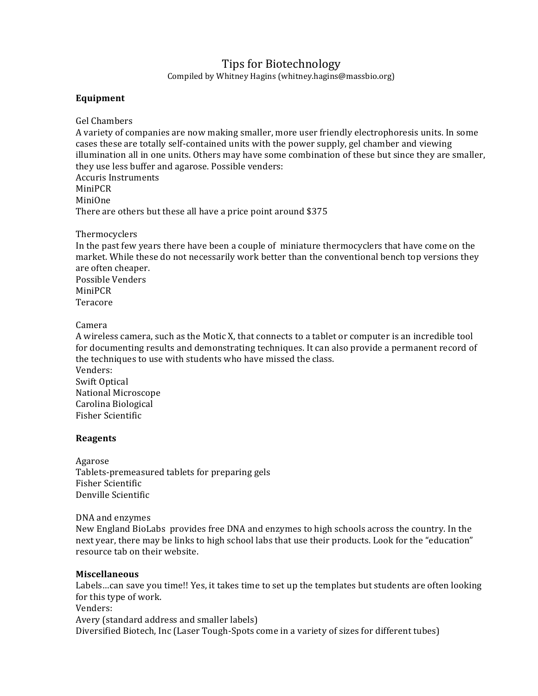# Tips for Biotechnology

Compiled by Whitney Hagins (whitney.hagins@massbio.org)

#### **Equipment**

Gel Chambers

A variety of companies are now making smaller, more user friendly electrophoresis units. In some cases these are totally self-contained units with the power supply, gel chamber and viewing illumination all in one units. Others may have some combination of these but since they are smaller, they use less buffer and agarose. Possible venders: Accuris Instruments MiniPCR MiniOne There are others but these all have a price point around \$375

Thermocyclers

In the past few years there have been a couple of miniature thermocyclers that have come on the market. While these do not necessarily work better than the conventional bench top versions they are often cheaper.

Possible Venders MiniPCR Teracore

### Camera

A wireless camera, such as the Motic X, that connects to a tablet or computer is an incredible tool for documenting results and demonstrating techniques. It can also provide a permanent record of the techniques to use with students who have missed the class.

Venders: Swift Optical National Microscope Carolina Biological Fisher Scientific

### **Reagents**

Agarose Tablets-premeasured tablets for preparing gels Fisher Scientific Denville Scientific

DNA and enzymes

New England BioLabs provides free DNA and enzymes to high schools across the country. In the next year, there may be links to high school labs that use their products. Look for the "education" resource tab on their website.

#### **Miscellaneous**

Labels...can save you time!! Yes, it takes time to set up the templates but students are often looking for this type of work. Venders: Avery (standard address and smaller labels) Diversified Biotech, Inc (Laser Tough-Spots come in a variety of sizes for different tubes)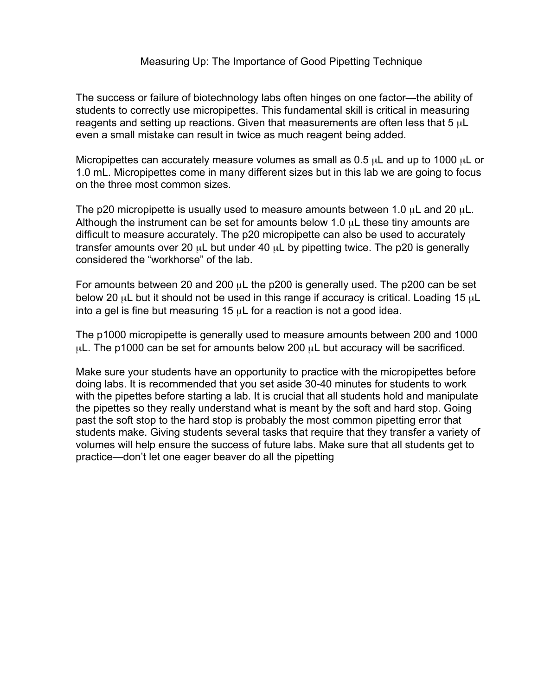### Measuring Up: The Importance of Good Pipetting Technique

The success or failure of biotechnology labs often hinges on one factor—the ability of students to correctly use micropipettes. This fundamental skill is critical in measuring reagents and setting up reactions. Given that measurements are often less that 5  $\mu$ L even a small mistake can result in twice as much reagent being added.

Micropipettes can accurately measure volumes as small as  $0.5 \mu L$  and up to 1000  $\mu L$  or 1.0 mL. Micropipettes come in many different sizes but in this lab we are going to focus on the three most common sizes.

The p20 micropipette is usually used to measure amounts between 1.0  $\mu$ L and 20  $\mu$ L. Although the instrument can be set for amounts below 1.0  $\mu$ L these tiny amounts are difficult to measure accurately. The p20 micropipette can also be used to accurately transfer amounts over 20  $\mu$ L but under 40  $\mu$ L by pipetting twice. The p20 is generally considered the "workhorse" of the lab.

For amounts between 20 and 200  $\mu$ L the p200 is generally used. The p200 can be set below 20  $\mu$ L but it should not be used in this range if accuracy is critical. Loading 15  $\mu$ L into a gel is fine but measuring 15  $\mu$ L for a reaction is not a good idea.

The p1000 micropipette is generally used to measure amounts between 200 and 1000  $\mu$ L. The p1000 can be set for amounts below 200  $\mu$ L but accuracy will be sacrificed.

Make sure your students have an opportunity to practice with the micropipettes before doing labs. It is recommended that you set aside 30-40 minutes for students to work with the pipettes before starting a lab. It is crucial that all students hold and manipulate the pipettes so they really understand what is meant by the soft and hard stop. Going past the soft stop to the hard stop is probably the most common pipetting error that students make. Giving students several tasks that require that they transfer a variety of volumes will help ensure the success of future labs. Make sure that all students get to practice—don't let one eager beaver do all the pipetting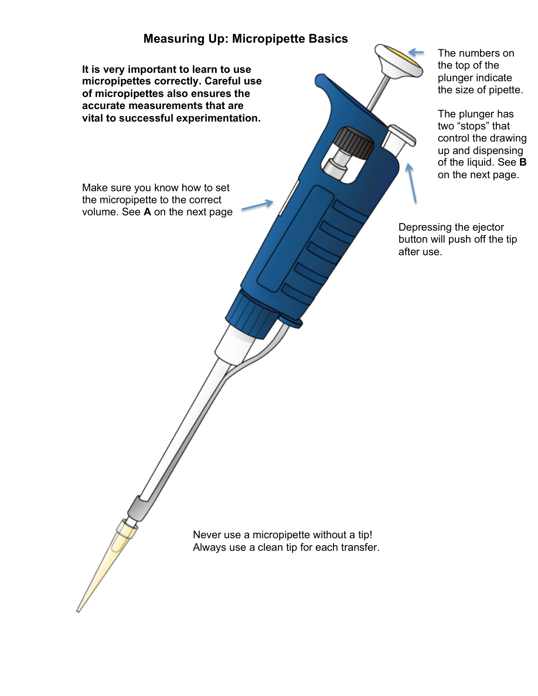# **Measuring Up: Micropipette Basics**

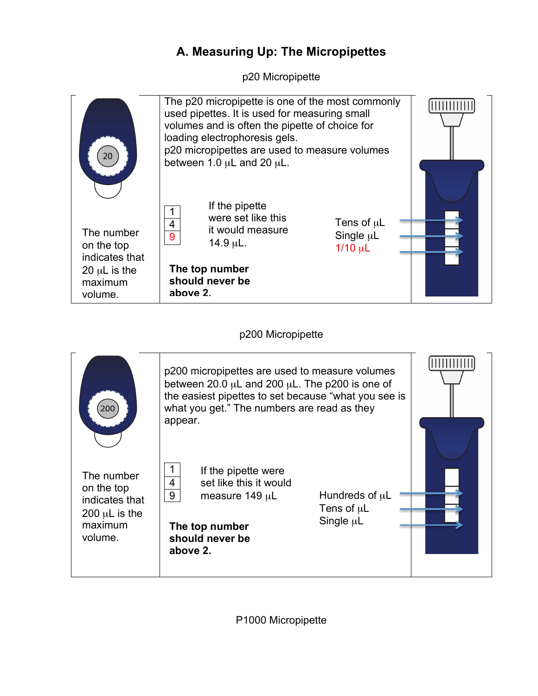# **A. Measuring Up: The Micropipettes**

p20 Micropipette



# p200 Micropipette



P1000 Micropipette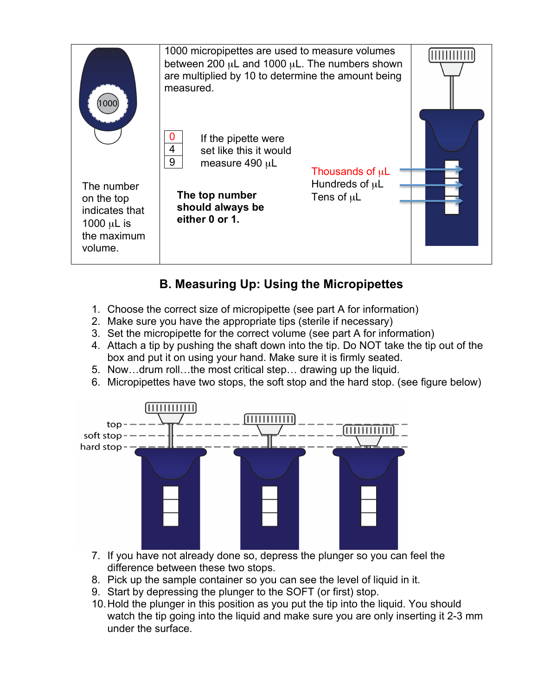|                                                                                         | 1000 micropipettes are used to measure volumes<br>between 200 $\mu$ L and 1000 $\mu$ L. The numbers shown<br>are multiplied by 10 to determine the amount being<br>measured. |                                                           |  |
|-----------------------------------------------------------------------------------------|------------------------------------------------------------------------------------------------------------------------------------------------------------------------------|-----------------------------------------------------------|--|
| The number<br>on the top<br>indicates that<br>1000 $\mu$ L is<br>the maximum<br>volume. | If the pipette were<br>U<br>$\overline{4}$<br>set like this it would<br>9<br>measure $490 \mu L$<br>The top number<br>should always be<br>either 0 or 1.                     | Thousands of $\mu$ L<br>Hundreds of µL<br>Tens of $\mu$ L |  |

# **B. Measuring Up: Using the Micropipettes**

- 1. Choose the correct size of micropipette (see part A for information)
- 2. Make sure you have the appropriate tips (sterile if necessary)
- 3. Set the micropipette for the correct volume (see part A for information)
- 4. Attach a tip by pushing the shaft down into the tip. Do NOT take the tip out of the box and put it on using your hand. Make sure it is firmly seated.
- 5. Now…drum roll…the most critical step… drawing up the liquid.
- 6. Micropipettes have two stops, the soft stop and the hard stop. (see figure below)



- 7. If you have not already done so, depress the plunger so you can feel the difference between these two stops.
- 8. Pick up the sample container so you can see the level of liquid in it.
- 9. Start by depressing the plunger to the SOFT (or first) stop.
- 10.Hold the plunger in this position as you put the tip into the liquid. You should watch the tip going into the liquid and make sure you are only inserting it 2-3 mm under the surface.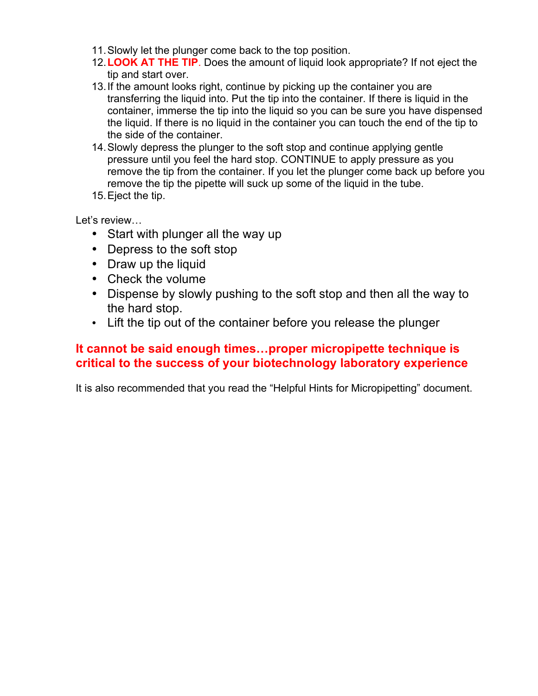- 11.Slowly let the plunger come back to the top position.
- 12.**LOOK AT THE TIP**. Does the amount of liquid look appropriate? If not eject the tip and start over.
- 13.If the amount looks right, continue by picking up the container you are transferring the liquid into. Put the tip into the container. If there is liquid in the container, immerse the tip into the liquid so you can be sure you have dispensed the liquid. If there is no liquid in the container you can touch the end of the tip to the side of the container.
- 14.Slowly depress the plunger to the soft stop and continue applying gentle pressure until you feel the hard stop. CONTINUE to apply pressure as you remove the tip from the container. If you let the plunger come back up before you remove the tip the pipette will suck up some of the liquid in the tube.
- 15.Eject the tip.

Let's review…

- Start with plunger all the way up
- Depress to the soft stop
- Draw up the liquid
- Check the volume
- Dispense by slowly pushing to the soft stop and then all the way to the hard stop.
- Lift the tip out of the container before you release the plunger

# **It cannot be said enough times…proper micropipette technique is critical to the success of your biotechnology laboratory experience**

It is also recommended that you read the "Helpful Hints for Micropipetting" document.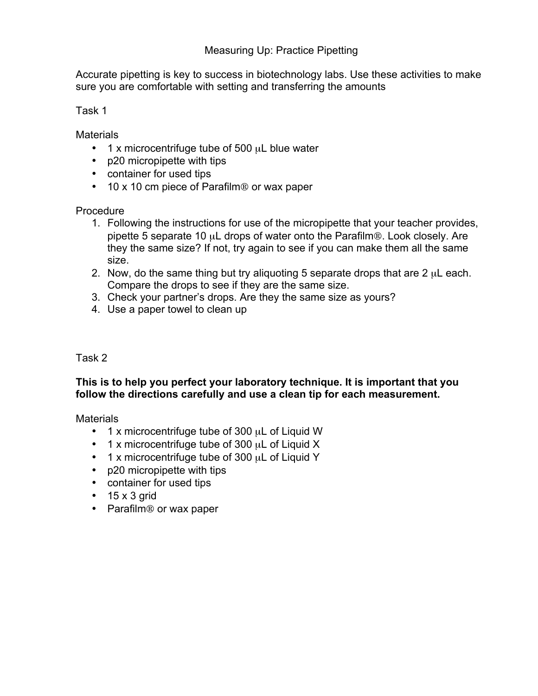## Measuring Up: Practice Pipetting

Accurate pipetting is key to success in biotechnology labs. Use these activities to make sure you are comfortable with setting and transferring the amounts

Task 1

**Materials** 

- 1 x microcentrifuge tube of 500  $\mu$ L blue water
- p20 micropipette with tips
- container for used tips
- $\cdot$  10 x 10 cm piece of Parafilm  $\circ$  or wax paper

Procedure

- 1. Following the instructions for use of the micropipette that your teacher provides, pipette 5 separate 10  $\mu$ L drops of water onto the Parafilm<sup>®</sup>. Look closely. Are they the same size? If not, try again to see if you can make them all the same size.
- 2. Now, do the same thing but try aliquoting 5 separate drops that are  $2 \mu L$  each. Compare the drops to see if they are the same size.
- 3. Check your partner's drops. Are they the same size as yours?
- 4. Use a paper towel to clean up

# Task 2

## **This is to help you perfect your laboratory technique. It is important that you follow the directions carefully and use a clean tip for each measurement.**

**Materials** 

- 1 x microcentrifuge tube of 300 µL of Liquid W
- 1 x microcentrifuge tube of 300  $\mu$ L of Liquid X
- 1 x microcentrifuge tube of 300 µL of Liquid Y
- p20 micropipette with tips
- container for used tips
- $\cdot$  15 x 3 grid
- Parafilm<sup>®</sup> or wax paper